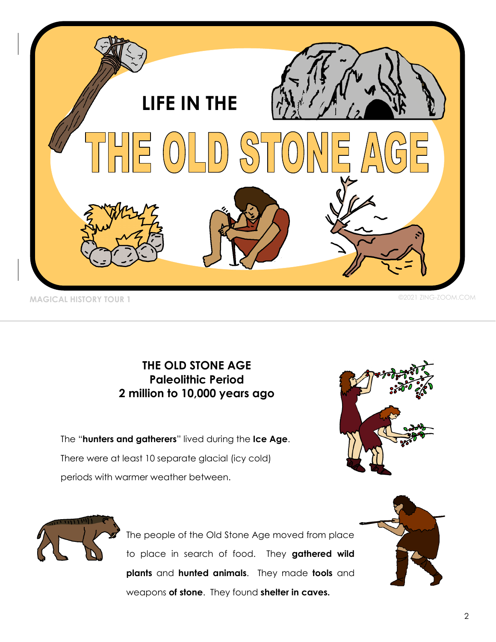

## **THE OLD STONE AGE Paleolithic Period 2 million to 10,000 years ago**

The "**hunters and gatherers**" lived during the **Ice Age**. There were at least 10 separate glacial (icy cold) periods with warmer weather between.





The people of the Old Stone Age moved from place to place in search of food. They **gathered wild plants** and **hunted animals**. They made **tools** and weapons **of stone**. They found **shelter in caves.**

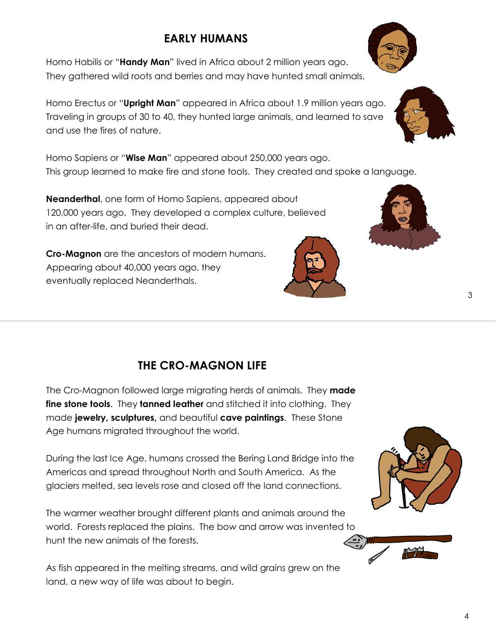# **EARLY HUMANS**

Homo Habilis or "**Handy Man**" lived in Africa about 2 million years ago. They gathered wild roots and berries and may have hunted small animals.

Homo Erectus or "**Upright Man**" appeared in Africa about 1.9 million years ago. Traveling in groups of 30 to 40, they hunted large animals, and learned to save and use the fires of nature.

Homo Sapiens or "**Wise Man**" appeared about 250,000 years ago. This group learned to make fire and stone tools. They created and spoke a language.

**Neanderthal**, one form of Homo Sapiens, appeared about 120,000 years ago. They developed a complex culture, believed in an after-life, and buried their dead.

**Cro-Magnon** are the ancestors of modern humans. Appearing about 40,000 years ago, they eventually replaced Neanderthals.

## **THE CRO-MAGNON LIFE**

The Cro-Magnon followed large migrating herds of animals. They **made fine stone tools**. They **tanned leather** and stitched it into clothing. They made **jewelry, sculptures,** and beautiful **cave paintings**. These Stone Age humans migrated throughout the world.

During the last Ice Age, humans crossed the Bering Land Bridge into the Americas and spread throughout North and South America. As the glaciers melted, sea levels rose and closed off the land connections.

The warmer weather brought different plants and animals around the world. Forests replaced the plains. The bow and arrow was invented to hunt the new animals of the forests.

As fish appeared in the melting streams, and wild grains grew on the land, a new way of life was about to begin.









3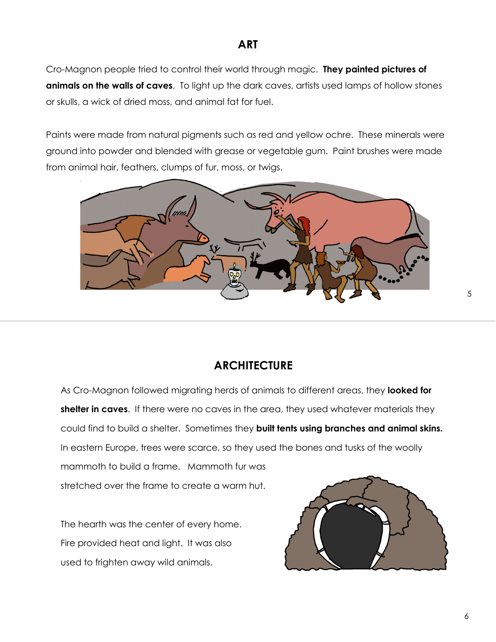## **ART**

Cro-Magnon people tried to control their world through magic. **They painted pictures of animals on the walls of caves**. To light up the dark caves, artists used lamps of hollow stones or skulls, a wick of dried moss, and animal fat for fuel.

Paints were made from natural pigments such as red and yellow ochre. These minerals were ground into powder and blended with grease or vegetable gum. Paint brushes were made from animal hair, feathers, clumps of fur, moss, or twigs.



#### **ARCHITECTURE**

As Cro-Magnon followed migrating herds of animals to different areas, they **looked for shelter in caves**. If there were no caves in the area, they used whatever materials they could find to build a shelter. Sometimes they **built tents using branches and animal skins.**  In eastern Europe, trees were scarce, so they used the bones and tusks of the woolly mammoth to build a frame. Mammoth fur was stretched over the frame to create a warm hut.

The hearth was the center of every home. Fire provided heat and light. It was also used to frighten away wild animals.